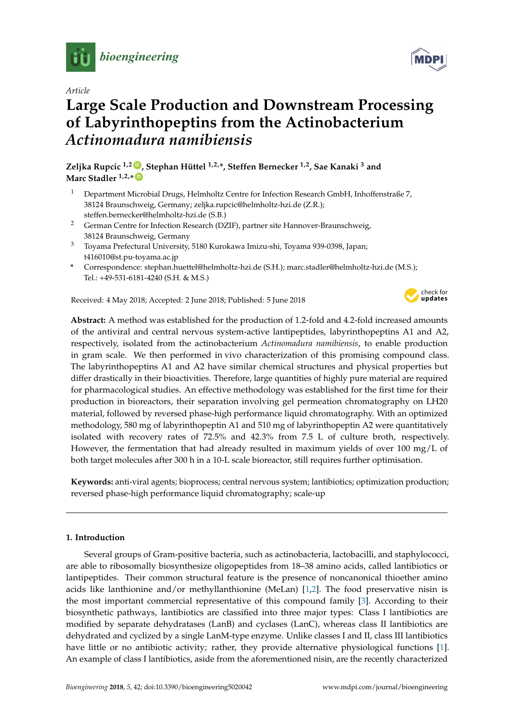

*Article*

# **Large Scale Production and Downstream Processing of Labyrinthopeptins from the Actinobacterium** *Actinomadura namibiensis*

**Zeljka Rupcic 1,2 [ID](https://orcid.org/0000-0002-9682-0606) , Stephan Hüttel 1,2,\*, Steffen Bernecker 1,2, Sae Kanaki <sup>3</sup> and**  $M$ arc Stadler  $1, 2, *$  (i<sub>D</sub>

- <sup>1</sup> Department Microbial Drugs, Helmholtz Centre for Infection Research GmbH, Inhoffenstraße 7, 38124 Braunschweig, Germany; zeljka.rupcic@helmholtz-hzi.de (Z.R.); steffen.bernecker@helmholtz-hzi.de (S.B.)
- <sup>2</sup> German Centre for Infection Research (DZIF), partner site Hannover-Braunschweig, 38124 Braunschweig, Germany
- <sup>3</sup> Toyama Prefectural University, 5180 Kurokawa Imizu-shi, Toyama 939-0398, Japan; t416010@st.pu-toyama.ac.jp
- **\*** Correspondence: stephan.huettel@helmholtz-hzi.de (S.H.); marc.stadler@helmholtz-hzi.de (M.S.); Tel.: +49-531-6181-4240 (S.H. & M.S.)

Received: 4 May 2018; Accepted: 2 June 2018; Published: 5 June 2018



**Abstract:** A method was established for the production of 1.2-fold and 4.2-fold increased amounts of the antiviral and central nervous system-active lantipeptides, labyrinthopeptins A1 and A2, respectively, isolated from the actinobacterium *Actinomadura namibiensis*, to enable production in gram scale. We then performed in vivo characterization of this promising compound class. The labyrinthopeptins A1 and A2 have similar chemical structures and physical properties but differ drastically in their bioactivities. Therefore, large quantities of highly pure material are required for pharmacological studies. An effective methodology was established for the first time for their production in bioreactors, their separation involving gel permeation chromatography on LH20 material, followed by reversed phase-high performance liquid chromatography. With an optimized methodology, 580 mg of labyrinthopeptin A1 and 510 mg of labyrinthopeptin A2 were quantitatively isolated with recovery rates of 72.5% and 42.3% from 7.5 L of culture broth, respectively. However, the fermentation that had already resulted in maximum yields of over  $100 \text{ mg/L}$  of both target molecules after 300 h in a 10-L scale bioreactor, still requires further optimisation.

**Keywords:** anti-viral agents; bioprocess; central nervous system; lantibiotics; optimization production; reversed phase-high performance liquid chromatography; scale-up

### **1. Introduction**

Several groups of Gram-positive bacteria, such as actinobacteria, lactobacilli, and staphylococci, are able to ribosomally biosynthesize oligopeptides from 18–38 amino acids, called lantibiotics or lantipeptides. Their common structural feature is the presence of noncanonical thioether amino acids like lanthionine and/or methyllanthionine (MeLan) [\[1](#page-7-0)[,2\]](#page-7-1). The food preservative nisin is the most important commercial representative of this compound family [\[3\]](#page-7-2). According to their biosynthetic pathways, lantibiotics are classified into three major types: Class I lantibiotics are modified by separate dehydratases (LanB) and cyclases (LanC), whereas class II lantibiotics are dehydrated and cyclized by a single LanM-type enzyme. Unlike classes I and II, class III lantibiotics have little or no antibiotic activity; rather, they provide alternative physiological functions [\[1\]](#page-7-0). An example of class I lantibiotics, aside from the aforementioned nisin, are the recently characterized

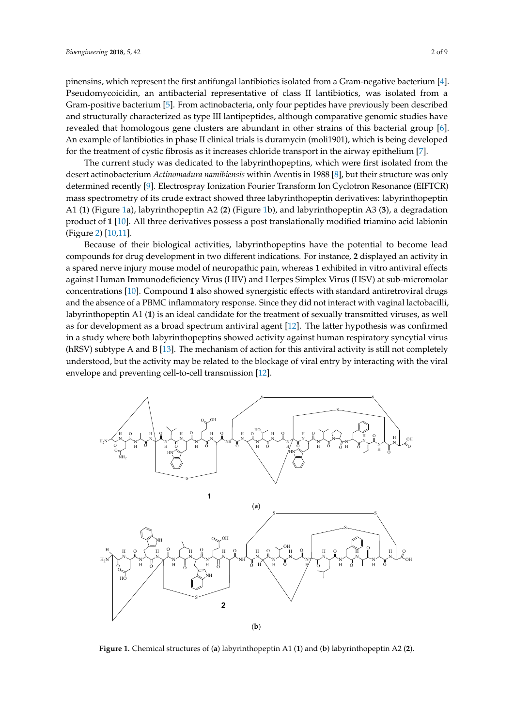pinensins, which represent the first antifungal lantibiotics isolated from a Gram-negative bacterium [\[4\]](#page-8-0). Pseudomycoicidin, an antibacterial representative of class II lantibiotics, was isolated from a Gram-positive bacterium [\[5\]](#page-8-1). From actinobacteria, only four peptides have previously been described and structurally characterized as type III lantipeptides, although comparative genomic studies have revealed that homologous gene clusters are abundant in other strains of this bacterial group [\[6\]](#page-8-2). An example of lantibiotics in phase II clinical trials is duramycin (moli1901), which is being developed for the treatment of cystic fibrosis as it increases chloride transport in the airway epithelium [\[7\]](#page-8-3).

The current study was dedicated to the labyrinthopeptins, which were first isolated from the desert actinobacterium *Actinomadura namibiensis within Aventis in 1988 [\[8\]](#page-8-4),* but their structure was only determined recently [\[9\]](#page-8-5). Electrospray Ionization Fourier Transform Ion Cyclotron Resonance (EIFTCR) mass spectrometry of its crude extract showed three labyrinthopeptin derivatives: labyrinthopeptin A1 (1) (Figure [1a](#page-1-0)), labyrinthopeptin A2 (2) (Figure [1b](#page-1-0)), and labyrinthopeptin A3 (3), a degradation product of **1** [\[10\]](#page-8-6). All three derivatives possess a post translationally modified triamino acid labionin (Figure [2\)](#page-2-0) [\[10,](#page-8-6)[11\]](#page-8-7). station staay was accided to the III fundpeptides, which were first isolated in on I  $[10]$ . Em unice defivatives possess a post transformativ modified transform and the  $\left(10,11\right)$ .

Because of their biological activities, labyrinthopeptins have the potential to become lead compounds for drug development in two different indications. For instance, 2 displayed an activity in a spared nerve injury mouse model of neuropathic pain, whereas 1 exhibited in vitro antiviral effects against Human Immunodeficiency Virus (HIV) and Herpes Simplex Virus (HSV) at sub-micromolar concentrations [\[10\]](#page-8-6). Compound 1 also showed synergistic effects with standard antiretroviral drugs and the absence of a PBMC inflammatory response. Since they did not interact with vaginal lactobacilli, labyrinthopeptin A1 (**1**) is an ideal candidate for the treatment of sexually transmitted viruses, as well as for development as a broad spectrum antiviral agent [\[12\]](#page-8-8). The latter hypothesis was confirmed in a study where both labyrinthopeptins showed activity against human respiratory syncytial virus (hRSV) subtype A and B [\[13\]](#page-8-9). The mechanism of action for this antiviral activity is still not completely understood, but the activity may be related to the blockage of viral entry by interacting with the viral envelope and preventing cell-to-cell transmission [\[12\]](#page-8-8). compounds for drug development in two different indications. For instance, **2** displayed and activity of  $\alpha$  and activity of  $\alpha$  and activity of  $\alpha$  and activity of  $\alpha$  and activity of  $\alpha$  and activity of  $\alpha$  and act  $t_{\rm max}$  as well as  $t_{\rm max}$  as well as the virus contract  $t_{\rm max}$  and  $t_{\rm max}$  and  $t_{\rm max}$   $t_{\rm max}$   $t_{\rm max}$   $t_{\rm max}$   $t_{\rm max}$   $t_{\rm max}$   $t_{\rm max}$   $t_{\rm max}$   $t_{\rm max}$   $t_{\rm max}$   $t_{\rm max}$   $t_{\rm max}$   $t_{\rm max}$   $t_{\rm max}$   $t_{\rm max}$ 

<span id="page-1-0"></span>

**Figure 1.** Chemical structures of (**a**) labyrinthopeptin A1 (**1**) and (**b**) labyrinthopeptin A2 (**2**).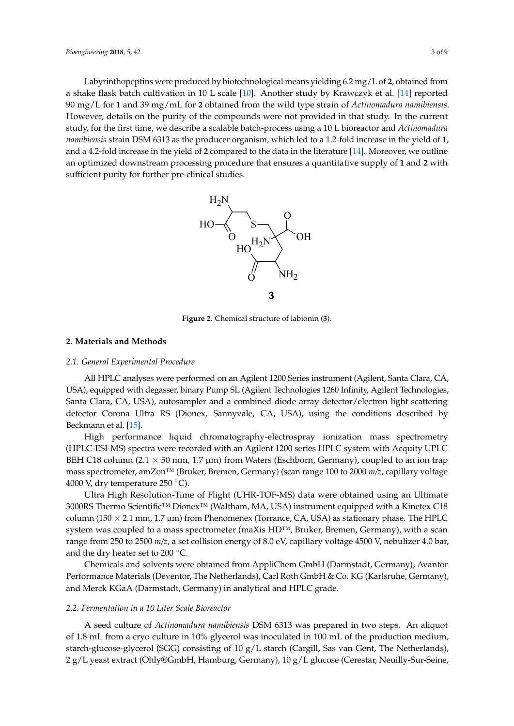<span id="page-2-0"></span>Labyrinthopeptins were produced by biotechnological means yielding 6.2 mg/L of **2**, obtained from Labyrinthopeptins were produced by biotechnological means yielding 6.2 mg/L of **2**, obtained a shake flask batch cultivation in 10 L scale [\[10\]](#page-8-6). Another study by Krawczyk et al. [\[14\]](#page-8-10) reported from a shake flask batch cultivation in 10 L scale [10]. Another study by Krawczyk et al. [14] reported 90 mg/L for 1 and 39 mg/mL for 2 obtained from the wild type strain of Actinomadura namibiensis. However, details on the purity of the compounds were not provided in that study. In the current However, details on the purity of the compounds were not provided in that study. In the current study, for the first time, we describe a scalable batch-process using a 10 L bioreactor and *Actinomadura* study, for the first time, we describe a scalable batch-process using a 10 L bioreactor and *Actinomadura*  namibiensis strain DSM 6313 as the producer organism, which led to a 1.2-fold increase in the yield of 1, and a 4.2-fold increase in the yield of 2 compared to the data in the literature  $[14]$ . Moreover, we outline an optimized downstream processing procedure that ensures a quantitative supply of **1** and **2** with sufficient purity for further pre-clinical studies.



**Figure 2.** Chemical structure of labionin (**3**). **Figure 2.** Chemical structure of labionin (**3**).

# **2. Materials and Methods 2. Materials and Methods**

# *2.1. General Experimental Procedure 2.1. General Experimental Procedure*

All HPLC analyses were performed on an Agilent 1200 Series instrument (Agilent, Santa Clara, All HPLC analyses were performed on an Agilent 1200 Series instrument (Agilent, Santa Clara, CA, USA), equipped with degasser, binary Pump SL (Agilent Technologies 1260 Infinity, Agilent Technologies, Santa Clara, CA, USA), autosampler and a combined diode array detector/electron light scattering detector Corona Ultra RS (Dionex, Sannyvale, CA, USA), using the conditions described by Beckmann et al.  $[15]$ .

High performance liquid chromatography-electrospray ionization mass spectrometry High performance liquid chromatography-electrospray ionization mass spectrometry (HPLC-ESI-MS) spectra were recorded with an Agilent 1200 series HPLC system with Acquity UPLC (HPLC-ESI-MS) spectra were recorded with an Agilent 1200 series HPLC system with Acquity UPLC BEH C18 column (2.1  $\times$  50 mm, 1.7 µm) from Waters (Eschborn, Germany), coupled to an ion trap mass spectrometer, amZon™ (Bruker, Bremen, Germany) (scan range 100 to 2000 *m/z*, capillary voltage mass spectrometer, amZon™ (Bruker, Bremen, Germany) (scan range 100 to 2000 *m/z*, capillary voltage 4000 V, dry temperature 250 °C). 4000 V, dry temperature 250 ◦C).

Ultra High Resolution-Time of Flight (UHR-TOF-MS) data were obtained using an Ultimate Ultra High Resolution-Time of Flight (UHR-TOF-MS) data were obtained using an Ultimate 3000RS Thermo Scientific™ Dionex™ (Waltham, MA, USA) instrument equipped with a Kinetex C18 3000RS Thermo Scientific™ Dionex™ (Waltham, MA, USA) instrument equipped with a Kinetex C18 column (150  $\times$  2.1 mm, 1.7 µm) from Phenomenex (Torrance, CA, USA) as stationary phase. The HPLC system was coupled to a mass spectrometer (maXis HD™, Bruker, Bremen, Germany), with a scan range from 250 to 2500 *m/z*, a set collision energy of 8.0 eV, capillary voltage 4500 V, nebulizer 4.0 bar, and the dry heater set to 200  $\degree$ C.

Chemicals and solvents were obtained from AppliChem GmbH (Darmstadt, Germany), Avantor Chemicals and solvents were obtained from AppliChem GmbH (Darmstadt, Germany), Avantor Performance Materials (Deventor, The Netherlands), Carl Roth GmbH & Co. KG (Karlsruhe, Germany), and Merck KGaA (Darmstadt, Germany) in analytical and HPLC grade.

## *2.2. Fermentation in a 10 Liter Scale Bioreactor 2.2. Fermentation in a 10 Liter Scale Bioreactor*

A seed culture of *Actinomadura namibiensis* DSM 6313 was prepared in two steps. An aliquot 1.8 mL from a cryo culture in 10% glycerol was inoculated in 100 mL of the production medium, of 1.8 mL from a cryo culture in 10% glycerol was inoculated in 100 mL of the production medium, starch-glucose-glycerol (SGG) consisting of 10 g/L starch (Cargill, Sas van Gent, The Netherlands), 2 g/L yeast extract (Ohly®GmbH, Hamburg, Germany), 10 g/L glucose (Cerestar, Neuilly-Sur-Seine,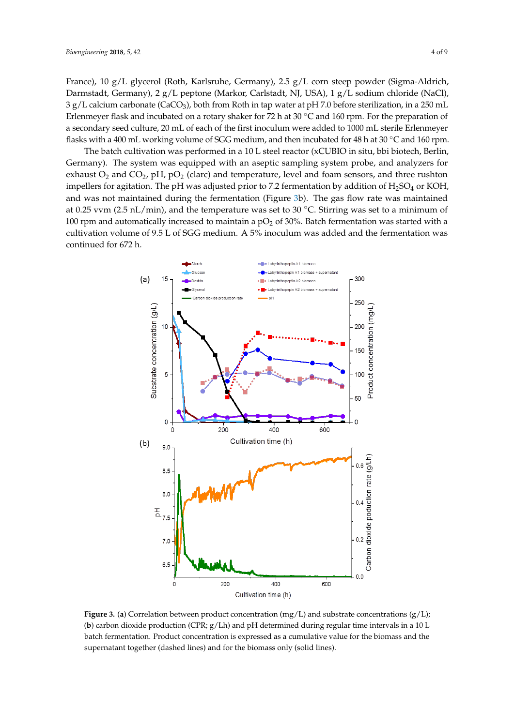France), 10 g/L glycerol (Roth, Karlsruhe, Germany), 2.5 g/L corn steep powder (Sigma-Aldrich, Darmstadt, Germany), 2 g/L peptone (Markor, Carlstadt, NJ, USA), 1 g/L sodium chloride (NaCl),  $3$  g/L calcium carbonate (CaCO<sub>3</sub>), both from Roth in tap water at pH 7.0 before sterilization, in a 250 mL Erlenmeyer flask and incubated on a rotary shaker for 72 h at 30 ◦C and 160 rpm. For the preparation of a secondary seed culture, 20 mL of each of the first inoculum were added to 1000 mL sterile Erlenmeyer flasks with a 400 mL working volume of SGG medium, and then incubated for 48 h at 30 °C and 160 rpm.

The batch cultivation was performed in a 10 L steel reactor (xCUBIO in situ, bbi biotech, Berlin, Germany). The system was equipped with an aseptic sampling system probe, and analyzers for exhaust  $O_2$  and  $CO_2$ , pH, pO<sub>2</sub> (clarc) and temperature, level and foam sensors, and three rushton impellers for agitation. The pH was adjusted prior to 7.2 fermentation by addition of  $H_2SO_4$  or KOH, and was not maintained during the fermentation (Figure [3b](#page-3-0)). The gas flow rate was maintained at 0.25 vvm (2.5 nL/min), and the temperature was set to 30 °C. Stirring was set to a minimum of 100 rpm and automatically increased to maintain a  $pO<sub>2</sub>$  of 30%. Batch fermentation was started with a cultivation volume of 9.5 L of SGG medium. A 5% inoculum was added and the fermentation was **Biographic continued for 672 h. Biographic school performance of 972 h.** 

<span id="page-3-0"></span>

Figure 3. (a) Correlation between product concentration (mg/L) and substrate concentrations  $(g/L)$ ;  $\mathbf{b}$  carbon dioxide production (CPR; g/Lh) and pH determined during regular time intervals in a 100  $\mathbf{c}$ (**b**) carbon dioxide production (CPR;  $g/Lh$ ) and pH determined during regular time intervals in a 10 L batch fermentation. Product concentration is expressed as a cumulative value for the biomass and the supernatant together (dashed lines) and for the biomass only (solid lines).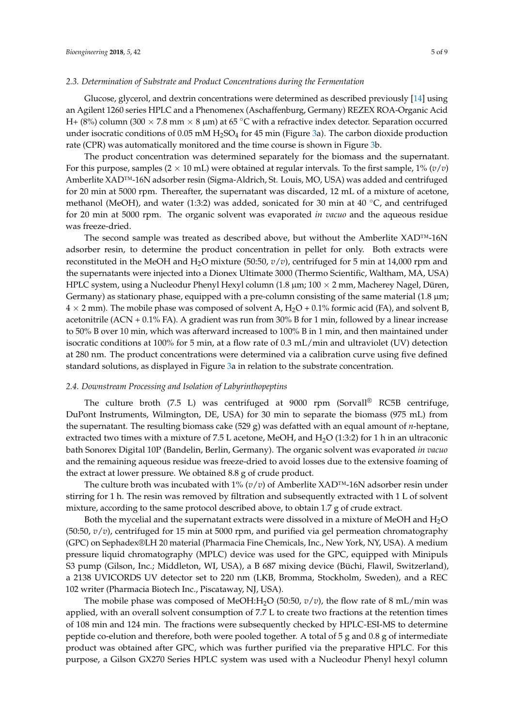#### *2.3. Determination of Substrate and Product Concentrations during the Fermentation*

Glucose, glycerol, and dextrin concentrations were determined as described previously [\[14\]](#page-8-10) using an Agilent 1260 series HPLC and a Phenomenex (Aschaffenburg, Germany) REZEX ROA-Organic Acid H+ (8%) column (300  $\times$  7.8 mm  $\times$  8 µm) at 65 °C with a refractive index detector. Separation occurred under isocratic conditions of 0.05 mM  $H_2$ SO<sub>4</sub> for 45 min (Figure [3a](#page-3-0)). The carbon dioxide production rate (CPR) was automatically monitored and the time course is shown in Figure [3b](#page-3-0).

The product concentration was determined separately for the biomass and the supernatant. For this purpose, samples  $(2 \times 10 \text{ mL})$  were obtained at regular intervals. To the first sample,  $1\% (v/v)$ Amberlite XAD™-16N adsorber resin (Sigma-Aldrich, St. Louis, MO, USA) was added and centrifuged for 20 min at 5000 rpm. Thereafter, the supernatant was discarded, 12 mL of a mixture of acetone, methanol (MeOH), and water (1:3:2) was added, sonicated for 30 min at 40  $\degree$ C, and centrifuged for 20 min at 5000 rpm. The organic solvent was evaporated *in vacuo* and the aqueous residue was freeze-dried.

The second sample was treated as described above, but without the Amberlite XAD™-16N adsorber resin, to determine the product concentration in pellet for only. Both extracts were reconstituted in the MeOH and H2O mixture (50:50, *v*/*v*), centrifuged for 5 min at 14,000 rpm and the supernatants were injected into a Dionex Ultimate 3000 (Thermo Scientific, Waltham, MA, USA) HPLC system, using a Nucleodur Phenyl Hexyl column  $(1.8 \mu m; 100 \times 2 \mu m)$ , Macherey Nagel, Düren, Germany) as stationary phase, equipped with a pre-column consisting of the same material (1.8  $\mu$ m;  $4 \times 2$  mm). The mobile phase was composed of solvent A, H<sub>2</sub>O + 0.1% formic acid (FA), and solvent B, acetonitrile (ACN +  $0.1\%$  FA). A gradient was run from 30% B for 1 min, followed by a linear increase to 50% B over 10 min, which was afterward increased to 100% B in 1 min, and then maintained under isocratic conditions at 100% for 5 min, at a flow rate of 0.3 mL/min and ultraviolet (UV) detection at 280 nm. The product concentrations were determined via a calibration curve using five defined standard solutions, as displayed in Figure [3a](#page-3-0) in relation to the substrate concentration.

#### *2.4. Downstream Processing and Isolation of Labyrinthopeptins*

The culture broth (7.5 L) was centrifuged at 9000 rpm (Sorvall<sup>®</sup> RC5B centrifuge, DuPont Instruments, Wilmington, DE, USA) for 30 min to separate the biomass (975 mL) from the supernatant. The resulting biomass cake (529 g) was defatted with an equal amount of *n*-heptane, extracted two times with a mixture of 7.5 L acetone, MeOH, and H2O (1:3:2) for 1 h in an ultraconic bath Sonorex Digital 10P (Bandelin, Berlin, Germany). The organic solvent was evaporated *in vacuo* and the remaining aqueous residue was freeze-dried to avoid losses due to the extensive foaming of the extract at lower pressure. We obtained 8.8 g of crude product.

The culture broth was incubated with 1% (*v*/*v*) of Amberlite XAD™-16N adsorber resin under stirring for 1 h. The resin was removed by filtration and subsequently extracted with 1 L of solvent mixture, according to the same protocol described above, to obtain 1.7 g of crude extract.

Both the mycelial and the supernatant extracts were dissolved in a mixture of MeOH and  $H_2O$ (50:50, *v*/*v*), centrifuged for 15 min at 5000 rpm, and purified via gel permeation chromatography (GPC) on Sephadex®LH 20 material (Pharmacia Fine Chemicals, Inc., New York, NY, USA). A medium pressure liquid chromatography (MPLC) device was used for the GPC, equipped with Minipuls S3 pump (Gilson, Inc.; Middleton, WI, USA), a B 687 mixing device (Büchi, Flawil, Switzerland), a 2138 UVICORDS UV detector set to 220 nm (LKB, Bromma, Stockholm, Sweden), and a REC 102 writer (Pharmacia Biotech Inc., Piscataway, NJ, USA).

The mobile phase was composed of MeOH:H<sub>2</sub>O (50:50,  $v/v$ ), the flow rate of 8 mL/min was applied, with an overall solvent consumption of 7.7 L to create two fractions at the retention times of 108 min and 124 min. The fractions were subsequently checked by HPLC-ESI-MS to determine peptide co-elution and therefore, both were pooled together. A total of 5 g and 0.8 g of intermediate product was obtained after GPC, which was further purified via the preparative HPLC. For this purpose, a Gilson GX270 Series HPLC system was used with a Nucleodur Phenyl hexyl column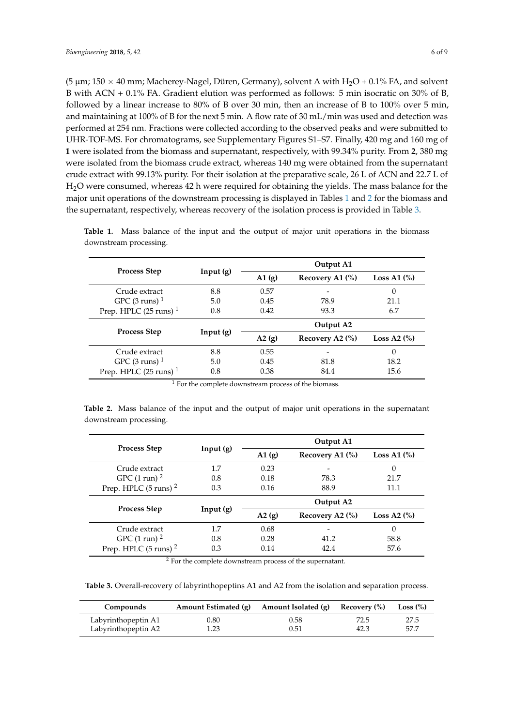(5  $\mu$ m; 150  $\times$  40 mm; Macherey-Nagel, Düren, Germany), solvent A with H<sub>2</sub>O + 0.1% FA, and solvent B with ACN + 0.1% FA. Gradient elution was performed as follows: 5 min isocratic on 30% of B, followed by a linear increase to 80% of B over 30 min, then an increase of B to 100% over 5 min, and maintaining at 100% of B for the next 5 min. A flow rate of 30 mL/min was used and detection was performed at 254 nm. Fractions were collected according to the observed peaks and were submitted to UHR-TOF-MS. For chromatograms, see Supplementary Figures S1–S7. Finally, 420 mg and 160 mg of **1** were isolated from the biomass and supernatant, respectively, with 99.34% purity. From **2**, 380 mg were isolated from the biomass crude extract, whereas 140 mg were obtained from the supernatant crude extract with 99.13% purity. For their isolation at the preparative scale, 26 L of ACN and 22.7 L of H2O were consumed, whereas 42 h were required for obtaining the yields. The mass balance for the major unit operations of the downstream processing is displayed in Tables [1](#page-5-0) and [2](#page-5-1) for the biomass and the supernatant, respectively, whereas recovery of the isolation process is provided in Table [3.](#page-5-2)

| Input(g) | Output A1             |                     |               |  |
|----------|-----------------------|---------------------|---------------|--|
|          | A1(g)                 | Recovery A1 (%)     | Loss A1 $(\%$ |  |
| 8.8      | 0.57                  |                     | 0             |  |
| 5.0      | 0.45                  | 78.9                | 21.1          |  |
| 0.8      | 0.42                  | 93.3                | 6.7           |  |
| Input(g) | Output A <sub>2</sub> |                     |               |  |
|          | A2(g)                 | Recovery A2 $(\% )$ | Loss A2 $(%)$ |  |
| 8.8      | 0.55                  |                     | $\Omega$      |  |
| 5.0      | 0.45                  | 81.8                | 18.2          |  |
| 0.8      | 0.38                  | 84.4                | 15.6          |  |
|          |                       |                     |               |  |

<span id="page-5-0"></span>**Table 1.** Mass balance of the input and the output of major unit operations in the biomass downstream processing.

<sup>1</sup> For the complete downstream process of the biomass.

<span id="page-5-1"></span>**Table 2.** Mass balance of the input and the output of major unit operations in the supernatant downstream processing.

|                                  | Input(g) | Output A1             |                     |               |
|----------------------------------|----------|-----------------------|---------------------|---------------|
| <b>Process Step</b>              |          | $\mathbf{A1}$ (g)     | Recovery A1 $(\%)$  | Loss A1 $(%)$ |
| Crude extract                    | 1.7      | 0.23                  |                     | $\Omega$      |
| GPC $(1 \text{ run})^2$          | 0.8      | 0.18                  | 78.3                | 21.7          |
| Prep. HPLC $(5 \text{ runs})^2$  | 0.3      | 0.16                  | 88.9                | 11.1          |
| <b>Process Step</b>              | Input(g) | Output A <sub>2</sub> |                     |               |
|                                  |          | A2(g)                 | Recovery A2 $(\%$ ) | Loss A2 $(\%$ |
| Crude extract                    | 1.7      | 0.68                  |                     | $\Omega$      |
| GPC $(1 \text{ run})^2$          | 0.8      | 0.28                  | 41.2                | 58.8          |
| Prep. HPLC (5 runs) <sup>2</sup> | 0.3      | 0.14                  | 42.4                | 57.6          |

<sup>2</sup> For the complete downstream process of the supernatant.

<span id="page-5-2"></span>**Table 3.** Overall-recovery of labyrinthopeptins A1 and A2 from the isolation and separation process.

| Compounds           | Amount Estimated (g) | Amount Isolated (g) | Recovery (%) | Loss $(\% )$ |
|---------------------|----------------------|---------------------|--------------|--------------|
| Labyrinthopeptin A1 | 0.80                 | 0.58                | 72.5         | 27.5         |
| Labyrinthopeptin A2 | 1.23                 | 0.51                | 42.3         | 57.7         |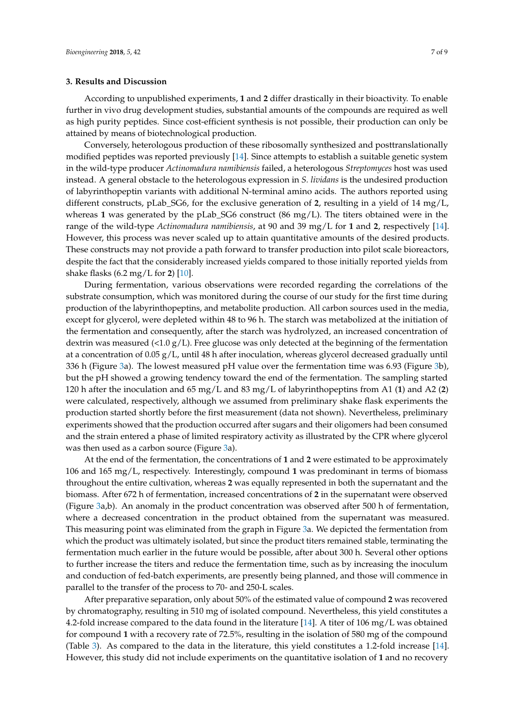#### **3. Results and Discussion**

According to unpublished experiments, **1** and **2** differ drastically in their bioactivity. To enable further in vivo drug development studies, substantial amounts of the compounds are required as well as high purity peptides. Since cost-efficient synthesis is not possible, their production can only be attained by means of biotechnological production.

Conversely, heterologous production of these ribosomally synthesized and posttranslationally modified peptides was reported previously [\[14\]](#page-8-10). Since attempts to establish a suitable genetic system in the wild-type producer *Actinomadura namibiensis* failed, a heterologous *Streptomyces* host was used instead. A general obstacle to the heterologous expression in *S. lividans* is the undesired production of labyrinthopeptin variants with additional N-terminal amino acids. The authors reported using different constructs, pLab\_SG6, for the exclusive generation of **2**, resulting in a yield of 14 mg/L, whereas 1 was generated by the pLab\_SG6 construct (86 mg/L). The titers obtained were in the range of the wild-type *Actinomadura namibiensis*, at 90 and 39 mg/L for **1** and **2**, respectively [\[14\]](#page-8-10). However, this process was never scaled up to attain quantitative amounts of the desired products. These constructs may not provide a path forward to transfer production into pilot scale bioreactors, despite the fact that the considerably increased yields compared to those initially reported yields from shake flasks (6.2 mg/L for **2**) [\[10\]](#page-8-6).

During fermentation, various observations were recorded regarding the correlations of the substrate consumption, which was monitored during the course of our study for the first time during production of the labyrinthopeptins, and metabolite production. All carbon sources used in the media, except for glycerol, were depleted within 48 to 96 h. The starch was metabolized at the initiation of the fermentation and consequently, after the starch was hydrolyzed, an increased concentration of dextrin was measured  $\langle$ <1.0 g/L). Free glucose was only detected at the beginning of the fermentation at a concentration of 0.05 g/L, until 48 h after inoculation, whereas glycerol decreased gradually until 336 h (Figure [3a](#page-3-0)). The lowest measured pH value over the fermentation time was 6.93 (Figure [3b](#page-3-0)), but the pH showed a growing tendency toward the end of the fermentation. The sampling started 120 h after the inoculation and 65 mg/L and 83 mg/L of labyrinthopeptins from A1 (**1**) and A2 (**2**) were calculated, respectively, although we assumed from preliminary shake flask experiments the production started shortly before the first measurement (data not shown). Nevertheless, preliminary experiments showed that the production occurred after sugars and their oligomers had been consumed and the strain entered a phase of limited respiratory activity as illustrated by the CPR where glycerol was then used as a carbon source (Figure [3a](#page-3-0)).

At the end of the fermentation, the concentrations of **1** and **2** were estimated to be approximately 106 and 165 mg/L, respectively. Interestingly, compound **1** was predominant in terms of biomass throughout the entire cultivation, whereas **2** was equally represented in both the supernatant and the biomass. After 672 h of fermentation, increased concentrations of **2** in the supernatant were observed (Figure [3a](#page-3-0),b). An anomaly in the product concentration was observed after 500 h of fermentation, where a decreased concentration in the product obtained from the supernatant was measured. This measuring point was eliminated from the graph in Figure [3a](#page-3-0). We depicted the fermentation from which the product was ultimately isolated, but since the product titers remained stable, terminating the fermentation much earlier in the future would be possible, after about 300 h. Several other options to further increase the titers and reduce the fermentation time, such as by increasing the inoculum and conduction of fed-batch experiments, are presently being planned, and those will commence in parallel to the transfer of the process to 70- and 250-L scales.

After preparative separation, only about 50% of the estimated value of compound **2** was recovered by chromatography, resulting in 510 mg of isolated compound. Nevertheless, this yield constitutes a 4.2-fold increase compared to the data found in the literature [\[14\]](#page-8-10). A titer of 106 mg/L was obtained for compound **1** with a recovery rate of 72.5%, resulting in the isolation of 580 mg of the compound (Table [3\)](#page-5-2). As compared to the data in the literature, this yield constitutes a 1.2-fold increase [\[14\]](#page-8-10). However, this study did not include experiments on the quantitative isolation of **1** and no recovery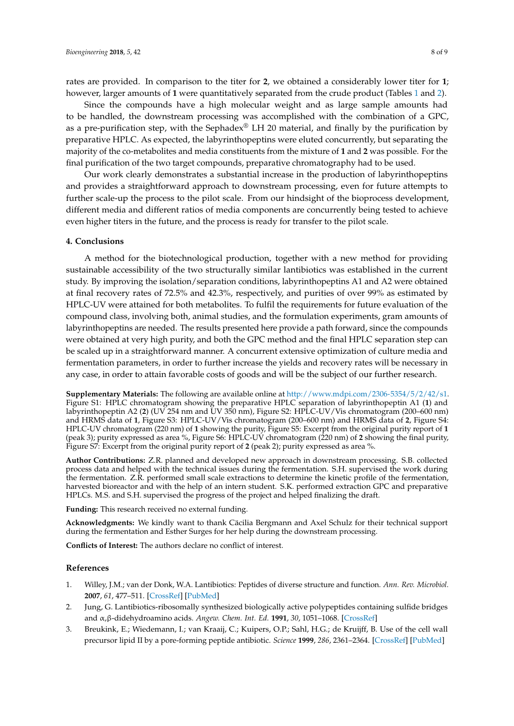rates are provided. In comparison to the titer for **2**, we obtained a considerably lower titer for **1**; however, larger amounts of **1** were quantitatively separated from the crude product (Tables [1](#page-5-0) and [2\)](#page-5-1).

Since the compounds have a high molecular weight and as large sample amounts had to be handled, the downstream processing was accomplished with the combination of a GPC, as a pre-purification step, with the Sephadex<sup>®</sup> LH 20 material, and finally by the purification by preparative HPLC. As expected, the labyrinthopeptins were eluted concurrently, but separating the majority of the co-metabolites and media constituents from the mixture of **1** and **2** was possible. For the final purification of the two target compounds, preparative chromatography had to be used.

Our work clearly demonstrates a substantial increase in the production of labyrinthopeptins and provides a straightforward approach to downstream processing, even for future attempts to further scale-up the process to the pilot scale. From our hindsight of the bioprocess development, different media and different ratios of media components are concurrently being tested to achieve even higher titers in the future, and the process is ready for transfer to the pilot scale.

#### **4. Conclusions**

A method for the biotechnological production, together with a new method for providing sustainable accessibility of the two structurally similar lantibiotics was established in the current study. By improving the isolation/separation conditions, labyrinthopeptins A1 and A2 were obtained at final recovery rates of 72.5% and 42.3%, respectively, and purities of over 99% as estimated by HPLC-UV were attained for both metabolites. To fulfil the requirements for future evaluation of the compound class, involving both, animal studies, and the formulation experiments, gram amounts of labyrinthopeptins are needed. The results presented here provide a path forward, since the compounds were obtained at very high purity, and both the GPC method and the final HPLC separation step can be scaled up in a straightforward manner. A concurrent extensive optimization of culture media and fermentation parameters, in order to further increase the yields and recovery rates will be necessary in any case, in order to attain favorable costs of goods and will be the subject of our further research.

**Supplementary Materials:** The following are available online at [http://www.mdpi.com/2306-5354/5/2/42/s1.](http://www.mdpi.com/2306-5354/5/2/42/s1) Figure S1: HPLC chromatogram showing the preparative HPLC separation of labyrinthopeptin A1 (1) and labyrinthopeptin A2 (2) (UV 254 nm and UV 350 nm), Figure S2: HPLC-UV/Vis chromatogram (200–600 nm) and HRMS data of **1**, Figure S3: HPLC-UV/Vis chromatogram (200–600 nm) and HRMS data of **2**, Figure S4: HPLC-UV chromatogram (220 nm) of **1** showing the purity, Figure S5: Excerpt from the original purity report of **1** (peak 3); purity expressed as area %, Figure S6: HPLC-UV chromatogram (220 nm) of **2** showing the final purity, Figure S7: Excerpt from the original purity report of **2** (peak 2); purity expressed as area %.

**Author Contributions:** Z.R. planned and developed new approach in downstream processing. S.B. collected process data and helped with the technical issues during the fermentation. S.H. supervised the work during the fermentation. Z.R. performed small scale extractions to determine the kinetic profile of the fermentation, harvested bioreactor and with the help of an intern student. S.K. performed extraction GPC and preparative HPLCs. M.S. and S.H. supervised the progress of the project and helped finalizing the draft.

**Funding:** This research received no external funding.

**Acknowledgments:** We kindly want to thank Cäcilia Bergmann and Axel Schulz for their technical support during the fermentation and Esther Surges for her help during the downstream processing.

**Conflicts of Interest:** The authors declare no conflict of interest.

#### **References**

- <span id="page-7-0"></span>1. Willey, J.M.; van der Donk, W.A. Lantibiotics: Peptides of diverse structure and function. *Ann. Rev. Microbiol.* **2007**, *61*, 477–511. [\[CrossRef\]](http://dx.doi.org/10.1146/annurev.micro.61.080706.093501) [\[PubMed\]](http://www.ncbi.nlm.nih.gov/pubmed/17506681)
- <span id="page-7-1"></span>2. Jung, G. Lantibiotics-ribosomally synthesized biologically active polypeptides containing sulfide bridges and α,β-didehydroamino acids. *Angew. Chem. Int. Ed.* **1991**, *30*, 1051–1068. [\[CrossRef\]](http://dx.doi.org/10.1002/anie.199110513)
- <span id="page-7-2"></span>3. Breukink, E.; Wiedemann, I.; van Kraaij, C.; Kuipers, O.P.; Sahl, H.G.; de Kruijff, B. Use of the cell wall precursor lipid II by a pore-forming peptide antibiotic. *Science* **1999**, *286*, 2361–2364. [\[CrossRef\]](http://dx.doi.org/10.1126/science.286.5448.2361) [\[PubMed\]](http://www.ncbi.nlm.nih.gov/pubmed/10600751)